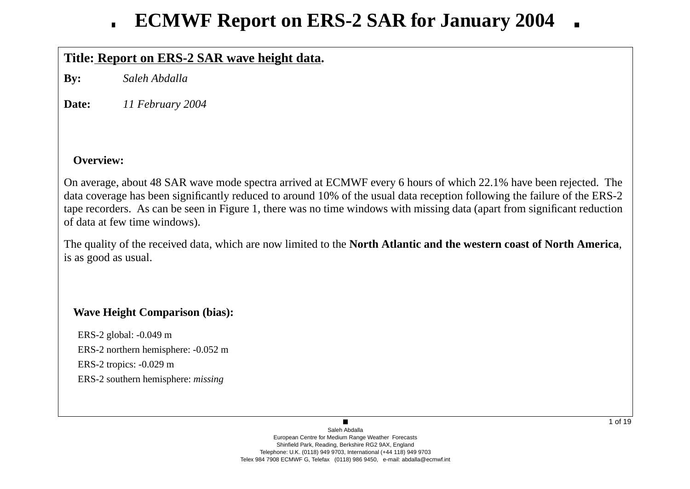## **Title: Report on ERS-2 SAR wa ve height data.**

**By:** *Saleh Abdalla*

**Date:***11 February 2004*

### **Overview:**

On average, about 48 SAR wave mode spectra arrived at ECMWF every 6 hours of which 22.1% have been rejected. The data co verage has been significantly reduced to around 10% of the usual data reception following the failure of the ERS-2 tape recorders. As can be seen in Figure 1, there was no time windows with missing data (apart from significant reduction of data at few time windows).

The quality of the recei ved data, which are now limited to the **North Atlantic and the western coast of North America**, is as good as usual.

## **Wa ve Height Comparison (bias):**

ERS-2 global: -0.049 m ERS-2 northern hemisphere: -0.052 m ERS-2 tropics: -0.029 m ERS-2 southern hemisphere: *missing*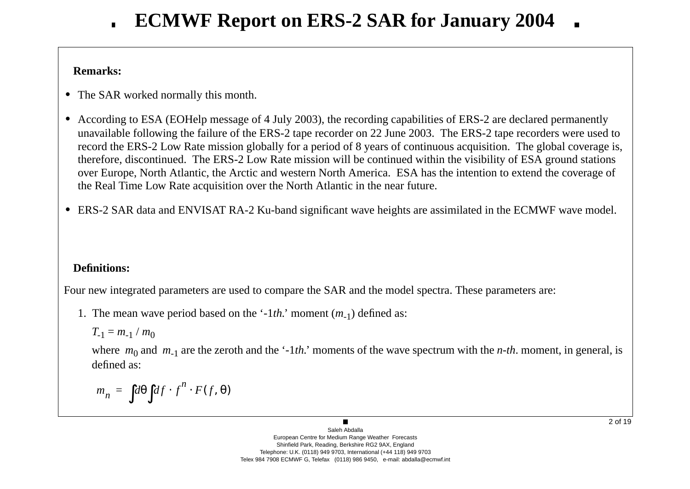### **Remarks:**

- **•** The SAR worked normally this month.
- **•** According to ESA (EOHelp message of 4 July 2003), the recording capabilities of ERS-2 are declared permanently una vailable following the failure of the ERS-2 tape recorder on 22 June 2003. The ERS-2 tape recorders were used to record the ERS-2 Low Rate mission globally for a period of 8 years of continuous acquisition. The global coverage is, therefore, discontinued. The ERS-2 Low Rate mission will be continued within the visibility of ESA ground stations o ver Europe, North Atlantic, the Arctic and western North America. ESA has the intention to extend the co verage of the Real Time Low Rate acquisition o ver the North Atlantic in the near future.
- ERS-2 SAR data and ENVISAT RA-2 Ku-band significant wave heights are assimilated in the ECMWF wave model.

## **Definitions:**

Four new integrated parameters are used to compare the SAR and the model spectra. These parameters are:

1. The mean wave period based on the '-1*th*.' moment (*m*<sub>-1</sub>) defined as:

$$
T_{-1}=m_{-1}/m_0
$$

where  $m_0$  and  $m_{-1}$  are the zeroth and the '-1*th*.' moments of the wave spectrum with the *n-th*. moment, in general, is defined as:

$$
m_n = \int d\theta \int df \cdot f^n \cdot F(f, \theta)
$$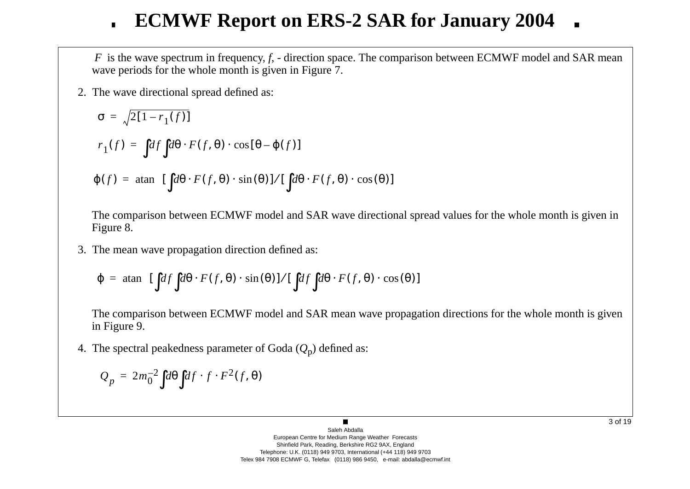*F* is the wave spectrum in frequency, *f*, - direction space. The comparison between ECMWF model and SAR mean wave periods for the whole month is given in Figure 7.

2. The w a ve directional spread defined as:

$$
\sigma = \sqrt{2[1 - r_1(f)]}
$$
  
\n
$$
r_1(f) = \int df \int d\theta \cdot F(f, \theta) \cdot \cos[\theta - \varphi(f)]
$$
  
\n
$$
\varphi(f) = \operatorname{atan} \left\{ [\int d\theta \cdot F(f, \theta) \cdot \sin(\theta)] / [\int d\theta \cdot F(f, \theta) \cdot \cos(\theta)] \right\}
$$

The comparison between ECMWF model and SAR wave directional spread values for the whole month is given in Figure 8.

3. The mean w a ve propagation direction defined as:

$$
\varphi = \text{atan}\left\{ \left[ \int df \int d\theta \cdot F(f, \theta) \cdot \sin(\theta) \right] / \left[ \int df \int d\theta \cdot F(f, \theta) \cdot \cos(\theta) \right] \right\}
$$

The comparison between ECMWF model and SAR mean wave propagation directions for the whole month is given in Figure 9.

4. The spectral peakedness parameter of Goda ( *Q* <sup>p</sup>) defined as:

$$
Q_p = 2m_0^{-2} \int d\theta \int df \cdot f \cdot F^2(f, \theta)
$$

3 of 19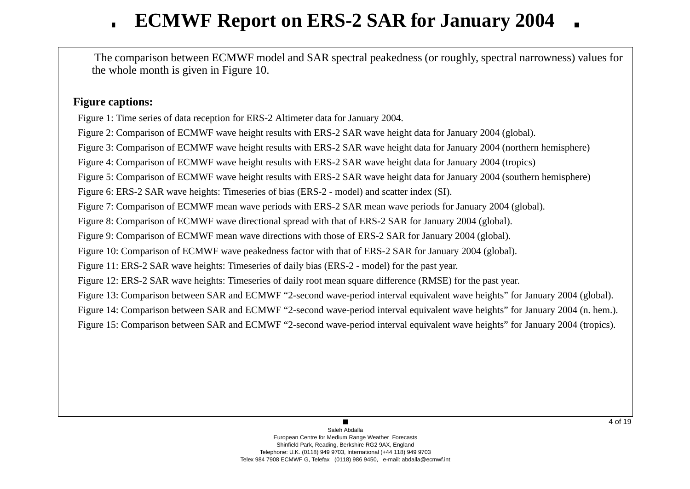The comparison between ECMWF model and SAR spectral peakedness (or roughly, spectral narrowness) values for the whole month is gi ven in Figure 10.

### **Figure captions:**

Figure 1: Time series of data reception for ERS-2 Altimeter data for January 2004.

Figure 2: Comparison of ECMWF wave height results with ERS-2 SAR wave height data for January 2004 (global).

Figure 3: Comparison of ECMWF wave height results with ERS-2 SAR wave height data for January 2004 (northern hemisphere)

Figure 4: Comparison of ECMWF wave height results with ERS-2 SAR wave height data for January 2004 (tropics)

Figure 5: Comparison of ECMWF wave height results with ERS-2 SAR wave height data for January 2004 (southern hemisphere)

Figure 6: ERS-2 SAR wave heights: Timeseries of bias (ERS-2 - model) and scatter index (SI).

Figure 7: Comparison of ECMWF mean wave periods with ERS-2 SAR mean wave periods for January 2004 (global).

Figure 8: Comparison of ECMWF wave directional spread with that of ERS-2 SAR for January 2004 (global).

Figure 9: Comparison of ECMWF mean wave directions with those of ERS-2 SAR for January 2004 (global).

Figure 10: Comparison of ECMWF wave peakedness factor with that of ERS-2 SAR for January 2004 (global).

Figure 11: ERS-2 SAR wave heights: Timeseries of daily bias (ERS-2 - model) for the past year.

Figure 12: ERS-2 SAR wave heights: Timeseries of daily root mean square difference (RMSE) for the past year.

Figure 13: Comparison between SAR and ECMWF "2-second wave-period interval equivalent wave heights" for January 2004 (global).

Figure 14: Comparison between SAR and ECMWF "2-second wave-period interval equivalent wave heights" for January 2004 (n. hem.).

Figure 15: Comparison between SAR and ECMWF "2-second wave-period interval equivalent wave heights" for January 2004 (tropics).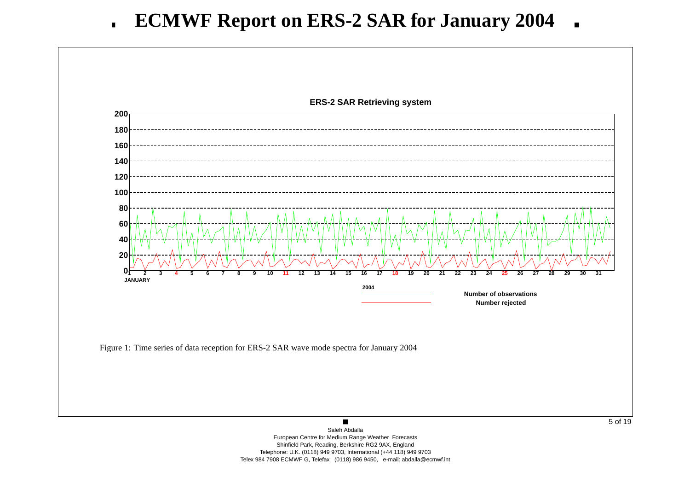

Telephone: U.K. (0118) 949 9703, International (+44 118) 949 9703 Telex 984 7908 ECMWF G, Telefax (0118) 986 9450, e-mail: abdalla@ecmwf.int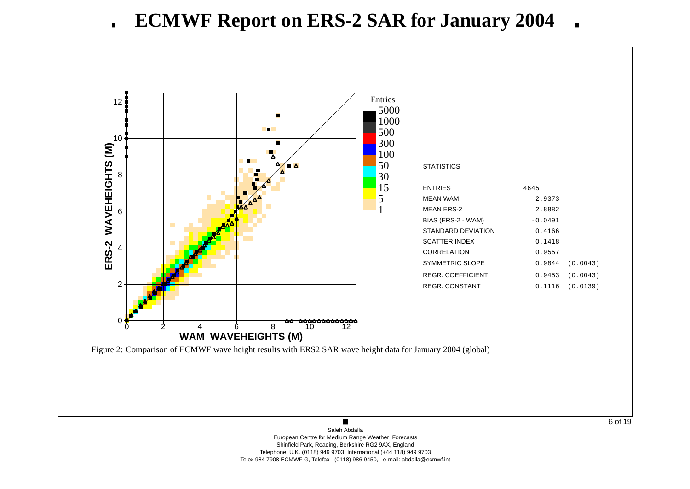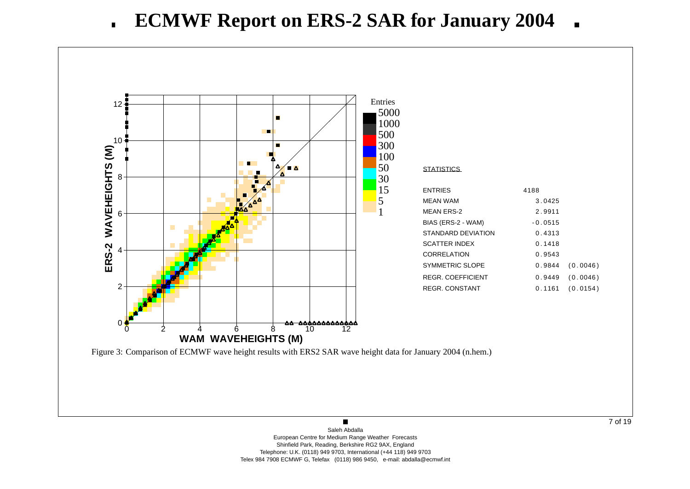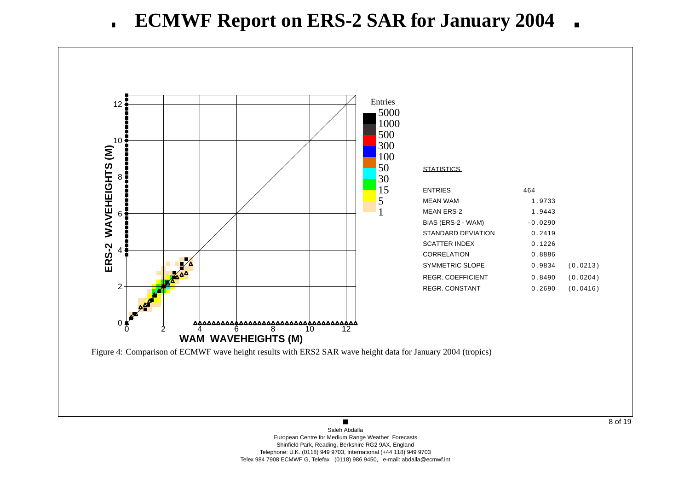

8 of 19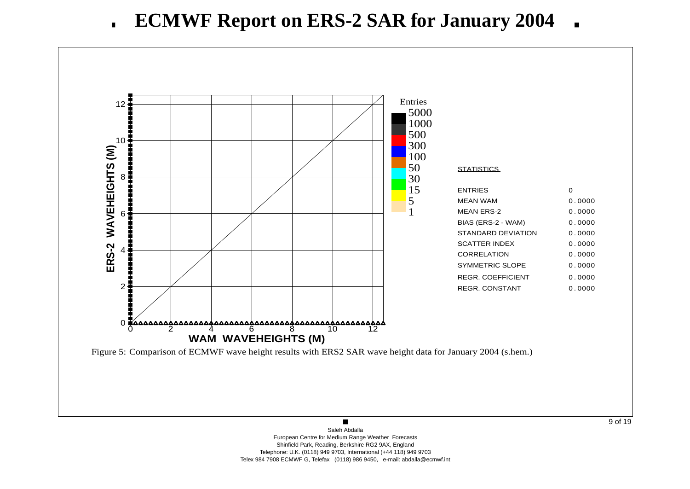

9 of 19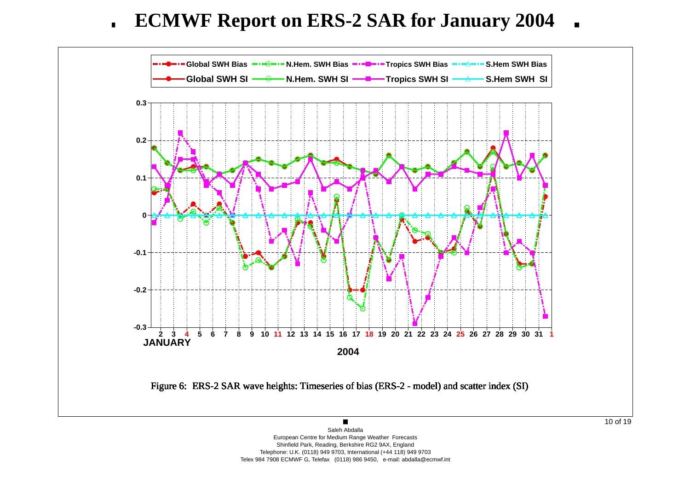**ECMWF Report on ERS-2 SAR for January 2004**  $\blacksquare$ 



Shinfield Park, Reading, Berkshire RG2 9AX, England Telephone: U.K. (0118) 949 9703, International (+44 118) 949 9703 Telex 984 7908 ECMWF G, Telefax (0118) 986 9450, e-mail: abdalla@ecmwf.int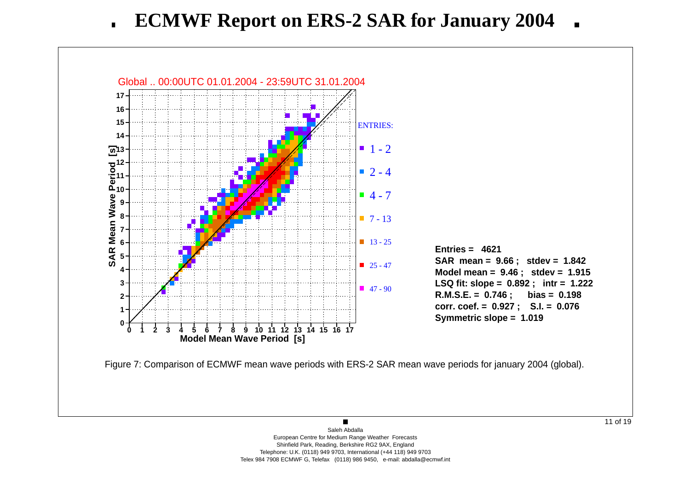

 $\blacksquare$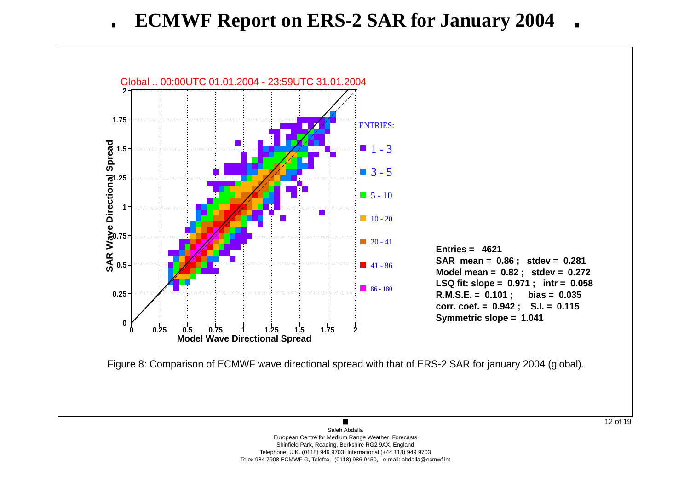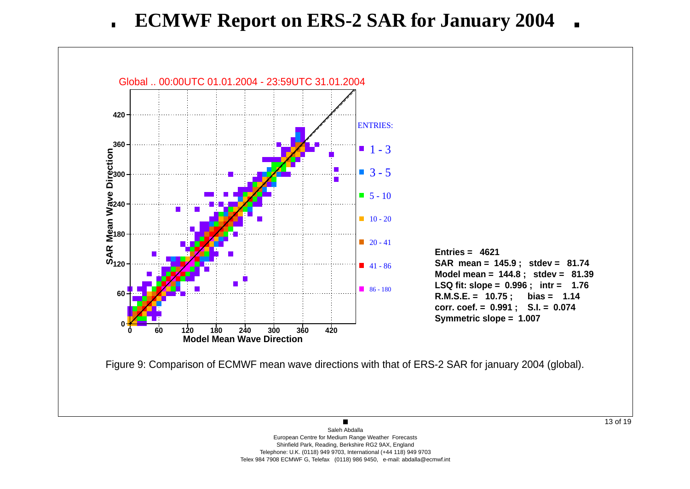

 $\blacksquare$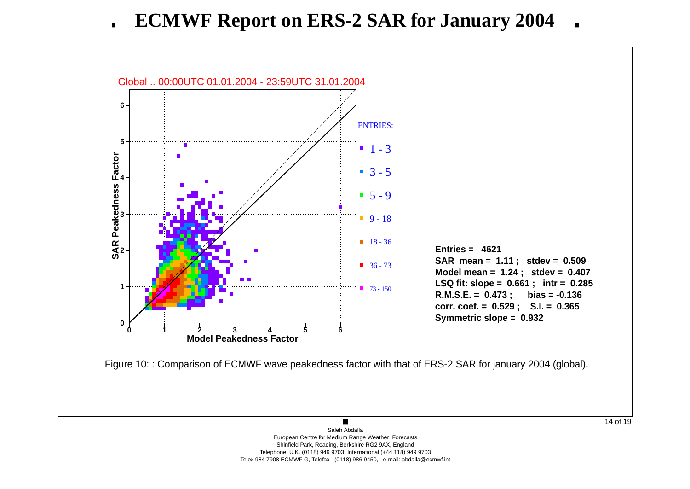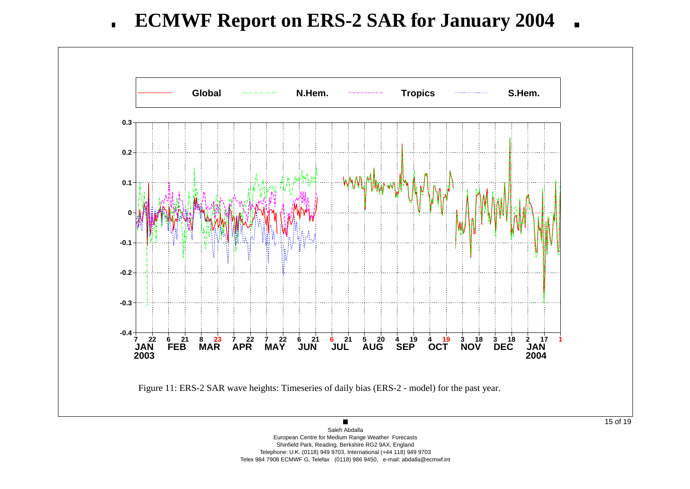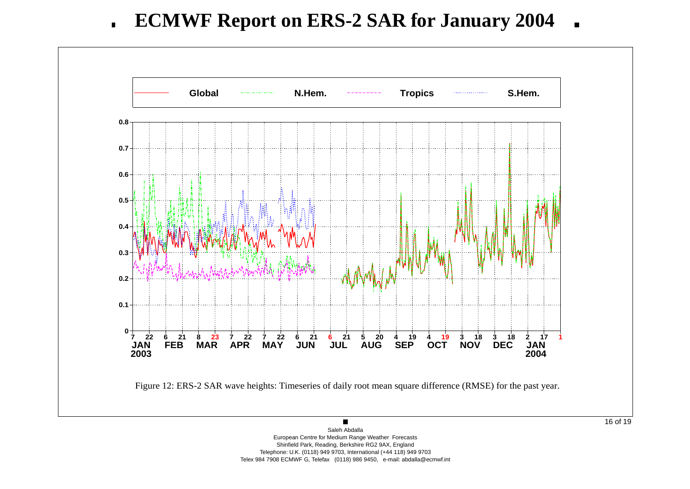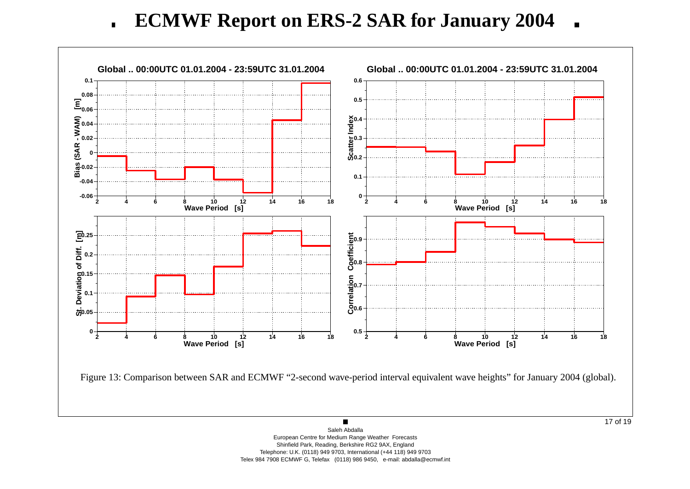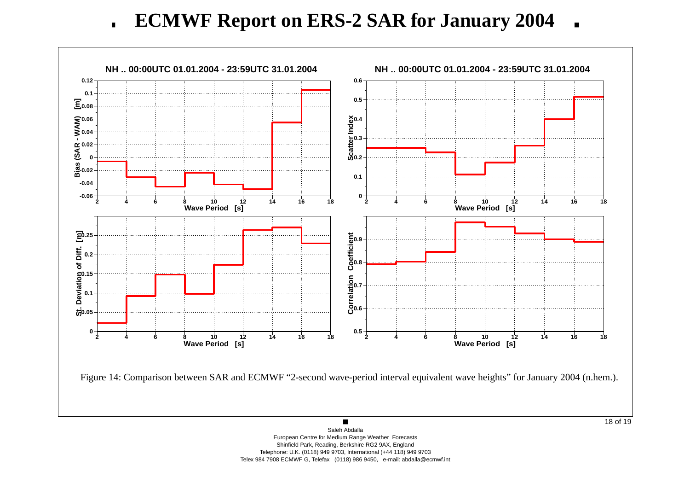**ECMWF Report on ERS-2 SAR for January 2004**  $\blacksquare$